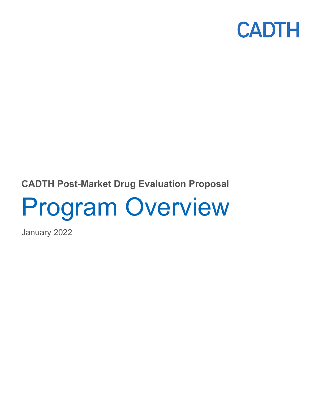

### **CADTH Post-Market Drug Evaluation Proposal**

# Program Overview

January 2022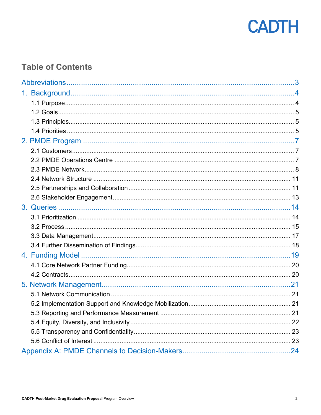

### **Table of Contents**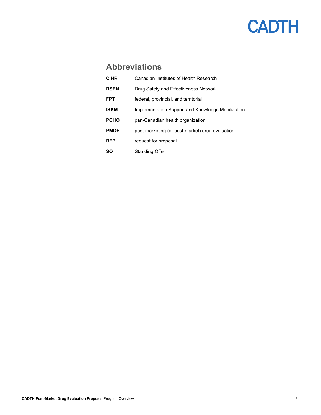### **Abbreviations**

<span id="page-2-0"></span>

| <b>CIHR</b> | Canadian Institutes of Health Research            |
|-------------|---------------------------------------------------|
| <b>DSEN</b> | Drug Safety and Effectiveness Network             |
| <b>FPT</b>  | federal, provincial, and territorial              |
| <b>ISKM</b> | Implementation Support and Knowledge Mobilization |
| <b>PCHO</b> | pan-Canadian health organization                  |
| <b>PMDE</b> | post-marketing (or post-market) drug evaluation   |
| <b>RFP</b>  | request for proposal                              |
| SΟ          | Standing Offer                                    |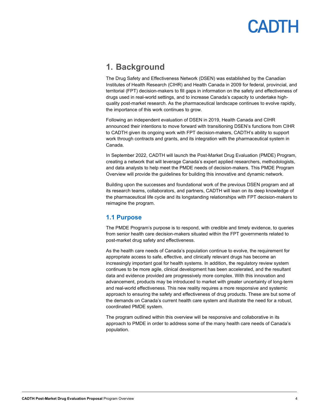### <span id="page-3-0"></span>**1. Background**

The Drug Safety and Effectiveness Network (DSEN) was established by the Canadian Institutes of Health Research (CIHR) and Health Canada in 2009 for federal, provincial, and territorial (FPT) decision-makers to fill gaps in information on the safety and effectiveness of drugs used in real-world settings, and to increase Canada's capacity to undertake highquality post-market research. As the pharmaceutical landscape continues to evolve rapidly, the importance of this work continues to grow.

Following an independent evaluation of DSEN in 2019, Health Canada and CIHR announced their intentions to move forward with transitioning DSEN's functions from CIHR to CADTH given its ongoing work with FPT decision-makers, CADTH's ability to support work through contracts and grants, and its integration with the pharmaceutical system in Canada.

In September 2022, CADTH will launch the Post-Market Drug Evaluation (PMDE) Program, creating a network that will leverage Canada's expert applied researchers, methodologists, and data analysts to help meet the PMDE needs of decision-makers. This PMDE Program Overview will provide the guidelines for building this innovative and dynamic network.

Building upon the successes and foundational work of the previous DSEN program and all its research teams, collaborators, and partners, CADTH will lean on its deep knowledge of the pharmaceutical life cycle and its longstanding relationships with FPT decision-makers to reimagine the program.

### <span id="page-3-1"></span>**1.1 Purpose**

The PMDE Program's purpose is to respond, with credible and timely evidence, to queries from senior health care decision-makers situated within the FPT governments related to post-market drug safety and effectiveness.

As the health care needs of Canada's population continue to evolve, the requirement for appropriate access to safe, effective, and clinically relevant drugs has become an increasingly important goal for health systems. In addition, the regulatory review system continues to be more agile, clinical development has been accelerated, and the resultant data and evidence provided are progressively more complex. With this innovation and advancement, products may be introduced to market with greater uncertainty of long-term and real-world effectiveness. This new reality requires a more responsive and systemic approach to ensuring the safety and effectiveness of drug products. These are but some of the demands on Canada's current health care system and illustrate the need for a robust, coordinated PMDE system.

The program outlined within this overview will be responsive and collaborative in its approach to PMDE in order to address some of the many health care needs of Canada's population.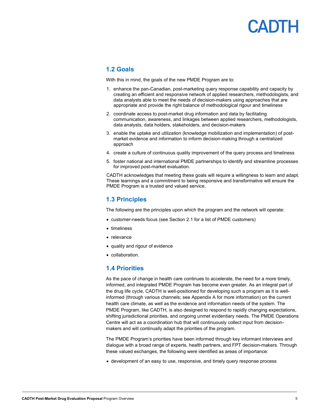#### <span id="page-4-0"></span>**1.2 Goals**

With this in mind, the goals of the new PMDE Program are to:

- 1. enhance the pan-Canadian, post-marketing query response capability and capacity by creating an efficient and responsive network of applied researchers, methodologists, and data analysts able to meet the needs of decision-makers using approaches that are appropriate and provide the right balance of methodological rigour and timeliness
- 2. coordinate access to post-market drug information and data by facilitating communication, awareness, and linkages between applied researchers, methodologists, data analysts, data holders, stakeholders, and decision-makers
- 3. enable the uptake and utilization (knowledge mobilization and implementation) of postmarket evidence and information to inform decision-making through a centralized approach
- 4. create a culture of continuous quality improvement of the query process and timeliness
- 5. foster national and international PMDE partnerships to identify and streamline processes for improved post-market evaluation.

CADTH acknowledges that meeting these goals will require a willingness to learn and adapt. These learnings and a commitment to being responsive and transformative will ensure the PMDE Program is a trusted and valued service.

#### <span id="page-4-1"></span>**1.3 Principles**

The following are the principles upon which the program and the network will operate:

- customer-needs focus (se[e Section](#page-6-3) 2.1 for a list of PMDE customers)
- timeliness
- relevance
- quality and rigour of evidence
- collaboration.

#### <span id="page-4-2"></span>**1.4 Priorities**

As the pace of change in health care continues to accelerate, the need for a more timely, informed, and integrated PMDE Program has become even greater. As an integral part of the drug life cycle, CADTH is well-positioned for developing such a program as it is wellinformed (through various channels; see [Appendix A](#page-23-1) for more information) on the current health care climate, as well as the evidence and information needs of the system. The PMDE Program, like CADTH, is also designed to respond to rapidly changing expectations, shifting jurisdictional priorities, and ongoing unmet evidentiary needs. The PMDE Operations Centre will act as a coordination hub that will continuously collect input from decisionmakers and will continually adapt the priorities of the program.

The PMDE Program's priorities have been informed through key informant interviews and dialogue with a broad range of experts, health partners, and FPT decision-makers. Through these valued exchanges, the following were identified as areas of importance:

• development of an easy to use, responsive, and timely query response process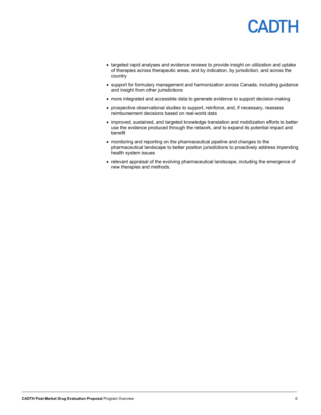- targeted rapid analyses and evidence reviews to provide insight on utilization and uptake of therapies across therapeutic areas, and by indication, by jurisdiction, and across the country
- support for formulary management and harmonization across Canada, including guidance and insight from other jurisdictions
- more integrated and accessible data to generate evidence to support decision-making
- prospective observational studies to support, reinforce, and, if necessary, reassess reimbursement decisions based on real-world data
- improved, sustained, and targeted knowledge translation and mobilization efforts to better use the evidence produced through the network, and to expand its potential impact and benefit
- monitoring and reporting on the pharmaceutical pipeline and changes to the pharmaceutical landscape to better position jurisdictions to proactively address impending health system issues
- relevant appraisal of the evolving pharmaceutical landscape, including the emergence of new therapies and methods.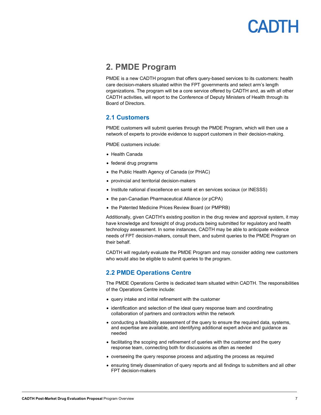### **ADTH**

### <span id="page-6-3"></span><span id="page-6-0"></span>**2. PMDE Program**

PMDE is a new CADTH program that offers query-based services to its customers: health care decision-makers situated within the FPT governments and select arm's length organizations. The program will be a core service offered by CADTH and, as with all other CADTH activities, will report to the Conference of Deputy Ministers of Health through its Board of Directors.

### <span id="page-6-1"></span>**2.1 Customers**

PMDE customers will submit queries through the PMDE Program, which will then use a network of experts to provide evidence to support customers in their decision-making.

PMDE customers include:

- Health Canada
- federal drug programs
- the Public Health Agency of Canada (or PHAC)
- provincial and territorial decision-makers
- Institute national d'excellence en santé et en services sociaux (or INESSS)
- the pan-Canadian Pharmaceutical Alliance (or pCPA)
- the Patented Medicine Prices Review Board (or PMPRB)

Additionally, given CADTH's existing position in the drug review and approval system, it may have knowledge and foresight of drug products being submitted for regulatory and health technology assessment. In some instances, CADTH may be able to anticipate evidence needs of FPT decision-makers, consult them, and submit queries to the PMDE Program on their behalf.

CADTH will regularly evaluate the PMDE Program and may consider adding new customers who would also be eligible to submit queries to the program.

### <span id="page-6-2"></span>**2.2 PMDE Operations Centre**

The PMDE Operations Centre is dedicated team situated within CADTH. The responsibilities of the Operations Centre include:

- query intake and initial refinement with the customer
- identification and selection of the ideal query response team and coordinating collaboration of partners and contractors within the network
- conducting a feasibility assessment of the query to ensure the required data, systems, and expertise are available, and identifying additional expert advice and guidance as needed
- facilitating the scoping and refinement of queries with the customer and the query response team, connecting both for discussions as often as needed
- overseeing the query response process and adjusting the process as required
- ensuring timely dissemination of query reports and all findings to submitters and all other FPT decision-makers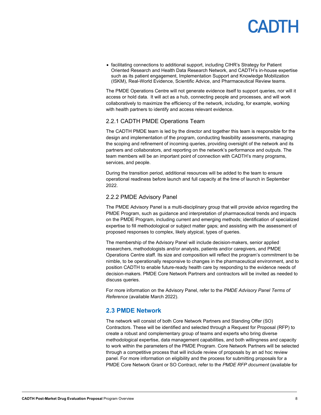• facilitating connections to additional support, including CIHR's Strategy for Patient Oriented Research and Health Data Research Network, and CADTH's in-house expertise such as its patient engagement, Implementation Support and Knowledge Mobilization (ISKM), Real-World Evidence, Scientific Advice, and Pharmaceutical Review teams.

The PMDE Operations Centre will not generate evidence itself to support queries, nor will it access or hold data. It will act as a hub, connecting people and processes, and will work collaboratively to maximize the efficiency of the network, including, for example, working with health partners to identify and access relevant evidence.

#### 2.2.1 CADTH PMDE Operations Team

The CADTH PMDE team is led by the director and together this team is responsible for the design and implementation of the program, conducting feasibility assessments, managing the scoping and refinement of incoming queries, providing oversight of the network and its partners and collaborators, and reporting on the network's performance and outputs. The team members will be an important point of connection with CADTH's many programs, services, and people.

During the transition period, additional resources will be added to the team to ensure operational readiness before launch and full capacity at the time of launch in September 2022.

#### 2.2.2 PMDE Advisory Panel

The PMDE Advisory Panel is a multi-disciplinary group that will provide advice regarding the PMDE Program, such as guidance and interpretation of pharmaceutical trends and impacts on the PMDE Program, including current and emerging methods; identification of specialized expertise to fill methodological or subject matter gaps; and assisting with the assessment of proposed responses to complex, likely atypical, types of queries.

The membership of the Advisory Panel will include decision-makers, senior applied researchers, methodologists and/or analysts, patients and/or caregivers, and PMDE Operations Centre staff. Its size and composition will reflect the program's commitment to be nimble, to be operationally responsive to changes in the pharmaceutical environment, and to position CADTH to enable future-ready health care by responding to the evidence needs of decision-makers. PMDE Core Network Partners and contractors will be invited as needed to discuss queries.

For more information on the Advisory Panel, refer to the *PMDE Advisory Panel Terms of Reference* (available March 2022).

#### <span id="page-7-0"></span>**2.3 PMDE Network**

The network will consist of both Core Network Partners and Standing Offer (SO) Contractors. These will be identified and selected through a Request for Proposal (RFP) to create a robust and complementary group of teams and experts who bring diverse methodological expertise, data management capabilities, and both willingness and capacity to work within the parameters of the PMDE Program. Core Network Partners will be selected through a competitive process that will include review of proposals by an ad hoc review panel. For more information on eligibility and the process for submitting proposals for a PMDE Core Network Grant or SO Contract, refer to the *PMDE RFP document* (available for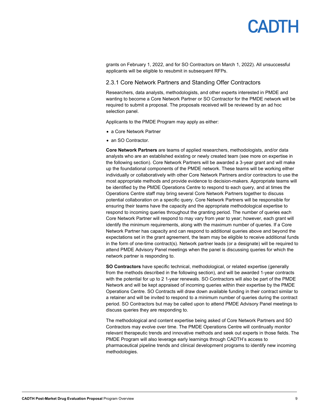

grants on February 1, 2022, and for SO Contractors on March 1, 2022). All unsuccessful applicants will be eligible to resubmit in subsequent RFPs.

#### 2.3.1 Core Network Partners and Standing Offer Contractors

Researchers, data analysts, methodologists, and other experts interested in PMDE and wanting to become a Core Network Partner or SO Contractor for the PMDE network will be required to submit a proposal. The proposals received will be reviewed by an ad hoc selection panel.

Applicants to the PMDE Program may apply as either:

- a Core Network Partner
- an SO Contractor

**Core Network Partners** are teams of applied researchers, methodologists, and/or data analysts who are an established existing or newly created team (see more on expertise in the following section). Core Network Partners will be awarded a 3-year grant and will make up the foundational components of the PMDE network. These teams will be working either individually or collaboratively with other Core Network Partners and/or contractors to use the most appropriate methods and provide evidence to decision-makers. Appropriate teams will be identified by the PMDE Operations Centre to respond to each query, and at times the Operations Centre staff may bring several Core Network Partners together to discuss potential collaboration on a specific query. Core Network Partners will be responsible for ensuring their teams have the capacity and the appropriate methodological expertise to respond to incoming queries throughout the granting period. The number of queries each Core Network Partner will respond to may vary from year to year; however, each grant will identify the minimum requirements, along with the maximum number of queries. If a Core Network Partner has capacity and can respond to additional queries above and beyond the expectations set in the grant agreement, the team may be eligible to receive additional funds in the form of one-time contract(s). Network partner leads (or a designate) will be required to attend PMDE Advisory Panel meetings when the panel is discussing queries for which the network partner is responding to.

**SO Contractors** have specific technical, methodological, or related expertise (generally from the methods described in the following section), and will be awarded 1-year contracts with the potential for up to 2 1-year renewals. SO Contractors will also be part of the PMDE Network and will be kept appraised of incoming queries within their expertise by the PMDE Operations Centre. SO Contracts will draw down available funding in their contract similar to a retainer and will be invited to respond to a minimum number of queries during the contract period. SO Contractors but may be called upon to attend PMDE Advisory Panel meetings to discuss queries they are responding to.

The methodological and content expertise being asked of Core Network Partners and SO Contractors may evolve over time. The PMDE Operations Centre will continually monitor relevant therapeutic trends and innovative methods and seek out experts in those fields. The PMDE Program will also leverage early learnings through CADTH's access to pharmaceutical pipeline trends and clinical development programs to identify new incoming methodologies.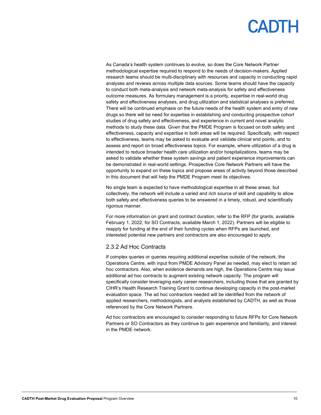As Canada's health system continues to evolve, so does the Core Network Partner methodological expertise required to respond to the needs of decision-makers. Applied research teams should be multi-disciplinary with resources and capacity in conducting rapid analyses and reviews across multiple data sources. Some teams should have the capacity to conduct both meta-analysis and network meta-analysis for safety and effectiveness outcome measures. As formulary management is a priority, expertise in real-world drug safety and effectiveness analyses, and drug utilization and statistical analyses is preferred. There will be continued emphasis on the future needs of the health system and entry of new drugs so there will be need for expertise in establishing and conducting prospective cohort studies of drug safety and effectiveness, and experience in current and novel analytic methods to study these data. Given that the PMDE Program is focused on both safety and effectiveness, capacity and expertise in both areas will be required. Specifically, with respect to effectiveness, teams may be asked to evaluate and validate clinical end points, and to assess and report on broad effectiveness topics. For example, where utilization of a drug is intended to reduce broader health care utilization and/or hospitalizations, teams may be asked to validate whether these system savings and patient experience improvements can be demonstrated in real-world settings. Prospective Core Network Partners will have the opportunity to expand on these topics and propose areas of activity beyond those described in this document that will help the PMDE Program meet its objectives.

No single team is expected to have methodological expertise in all these areas, but collectively, the network will include a varied and rich source of skill and capability to allow both safety and effectiveness queries to be answered in a timely, robust, and scientifically rigorous manner.

For more information on grant and contract duration, refer to the RFP (for grants, available February 1, 2022; for SO Contracts, available March 1, 2022). Partners will be eligible to reapply for funding at the end of their funding cycles when RFPs are launched, and interested potential new partners and contractors are also encouraged to apply.

#### 2.3.2 Ad Hoc Contracts

If complex queries or queries requiring additional expertise outside of the network, the Operations Centre, with input from PMDE Advisory Panel as needed, may elect to retain ad hoc contractors. Also, when evidence demands are high, the Operations Centre may issue additional ad hoc contracts to augment existing network capacity. The program will specifically consider leveraging early career researchers, including those that are granted by CIHR's Health Research Training Grant to continue developing capacity in the post-market evaluation space. The ad hoc contractors needed will be identified from the network of applied researchers, methodologists, and analysts established by CADTH, as well as those referenced by the Core Network Partners.

Ad hoc contractors are encouraged to consider responding to future RFPs for Core Network Partners or SO Contractors as they continue to gain experience and familiarity, and interest in the PMDE network.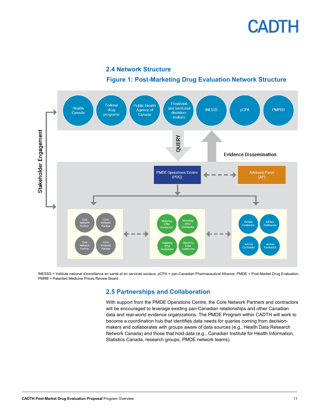

**2.4 Network Structure**

### **Figure 1: Post-Marketing Drug Evaluation Network Structure**

<span id="page-10-0"></span>

<span id="page-10-1"></span>INESSS = Institute national d'excellence en santé et en services sociaux; pCPA = pan-Canadian Pharmaceutical Alliance; PMDE = Post-Market Drug Evaluation; PMRB = Patented Medicine Prices Review Board.

### **2.5 Partnerships and Collaboration**

With support from the PMDE Operations Centre, the Core Network Partners and contractors will be encouraged to leverage existing pan-Canadian relationships and other Canadian data and real-world evidence organizations. The PMDE Program within CADTH will work to become a coordination hub that identifies data needs for queries coming from decisionmakers and collaborates with groups aware of data sources (e.g., Health Data Research Network Canada) and those that hold data (e.g., Canadian Institute for Health Information, Statistics Canada, research groups, PMDE network teams).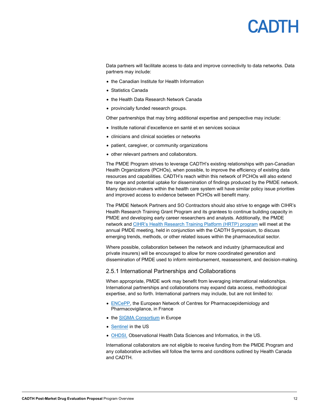### **ANTH**

Data partners will facilitate access to data and improve connectivity to data networks. Data partners may include:

- the Canadian Institute for Health Information
- Statistics Canada
- the Health Data Research Network Canada
- provincially funded research groups.

Other partnerships that may bring additional expertise and perspective may include:

- Institute national d'excellence en santé et en services sociaux
- clinicians and clinical societies or networks
- patient, caregiver, or community organizations
- other relevant partners and collaborators.

The PMDE Program strives to leverage CADTH's existing relationships with pan-Canadian Health Organizations (PCHOs), when possible, to improve the efficiency of existing data resources and capabilities. CADTH's reach within this network of PCHOs will also extend the range and potential uptake for dissemination of findings produced by the PMDE network. Many decision-makers within the health care system will have similar policy issue priorities and improved access to evidence between PCHOs will benefit many.

The PMDE Network Partners and SO Contractors should also strive to engage with CIHR's Health Research Training Grant Program and its grantees to continue building capacity in PMDE and developing early career researchers and analysts. Additionally, the PMDE network and [CIHR's Health Research Training Platform \(HRTP\) program](https://cihr-irsc.gc.ca/e/52278.html) will meet at the annual PMDE meeting, held in conjunction with the CADTH Symposium, to discuss emerging trends, methods, or other related issues within the pharmaceutical sector.

Where possible, collaboration between the network and industry (pharmaceutical and private insurers) will be encouraged to allow for more coordinated generation and dissemination of PMDE used to inform reimbursement, reassessment, and decision-making.

#### 2.5.1 International Partnerships and Collaborations

When appropriate, PMDE work may benefit from leveraging international relationships. International partnerships and collaborations may expand data access, methodological expertise, and so forth. International partners may include, but are not limited to:

- [ENCePP,](https://www.encepp.eu/) the European Network of Centres for Pharmacoepidemiology and Pharmacovigilance, in France
- the [SIGMA Consortium](https://sigmaconsortium.eu/) in Europe
- [Sentinel](https://www.sentinelinitiative.org/) in the US
- [OHDSI,](https://www.ohdsi.org/) Observational Health Data Sciences and Informatics, in the US.

International collaborators are not eligible to receive funding from the PMDE Program and any collaborative activities will follow the terms and conditions outlined by Health Canada and CADTH.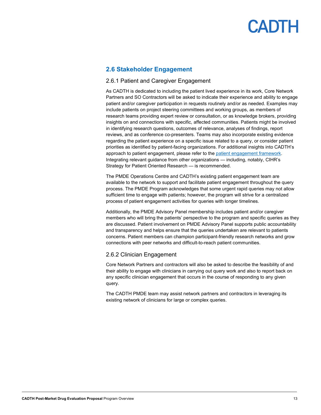### <span id="page-12-0"></span>**2.6 Stakeholder Engagement**

#### 2.6.1 Patient and Caregiver Engagement

As CADTH is dedicated to including the patient lived experience in its work, Core Network Partners and SO Contractors will be asked to indicate their experience and ability to engage patient and/or caregiver participation in requests routinely and/or as needed. Examples may include patients on project steering committees and working groups, as members of research teams providing expert review or consultation, or as knowledge brokers, providing insights on and connections with specific, affected communities. Patients might be involved in identifying research questions, outcomes of relevance, analyses of findings, report reviews, and as conference co-presenters. Teams may also incorporate existing evidence regarding the patient experience on a specific issue related to a query, or consider patient priorities as identified by patient-facing organizations. For additional insights into CADTH's approach to patient engagement, please refer to the [patient engagement framework.](https://www.cadth.ca/cadth-framework-patient-engagement-health-technology-assessment) Integrating relevant guidance from other organizations — including, notably, CIHR's Strategy for Patient Oriented Research — is recommended.

The PMDE Operations Centre and CADTH's existing patient engagement team are available to the network to support and facilitate patient engagement throughout the query process. The PMDE Program acknowledges that some urgent rapid queries may not allow sufficient time to engage with patients; however, the program will strive for a centralized process of patient engagement activities for queries with longer timelines.

Additionally, the PMDE Advisory Panel membership includes patient and/or caregiver members who will bring the patients' perspective to the program and specific queries as they are discussed. Patient involvement on PMDE Advisory Panel supports public accountability and transparency and helps ensure that the queries undertaken are relevant to patients concerns. Patient members can champion participant-friendly research networks and grow connections with peer networks and difficult-to-reach patient communities.

#### 2.6.2 Clinician Engagement

Core Network Partners and contractors will also be asked to describe the feasibility of and their ability to engage with clinicians in carrying out query work and also to report back on any specific clinician engagement that occurs in the course of responding to any given query.

The CADTH PMDE team may assist network partners and contractors in leveraging its existing network of clinicians for large or complex queries.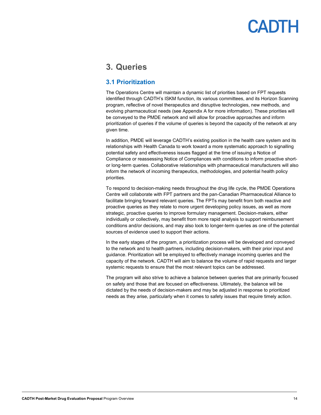### <span id="page-13-0"></span>**3. Queries**

### <span id="page-13-1"></span>**3.1 Prioritization**

The Operations Centre will maintain a dynamic list of priorities based on FPT requests identified through CADTH's ISKM function, its various committees, and its Horizon Scanning program, reflective of novel therapeutics and disruptive technologies, new methods, and evolving pharmaceutical needs (see [Appendix A f](#page-23-1)or more information). These priorities will be conveyed to the PMDE network and will allow for proactive approaches and inform prioritization of queries if the volume of queries is beyond the capacity of the network at any given time.

In addition, PMDE will leverage CADTH's existing position in the health care system and its relationships with Health Canada to work toward a more systematic approach to signalling potential safety and effectiveness issues flagged at the time of issuing a Notice of Compliance or reassessing Notice of Compliances with conditions to inform proactive shortor long-term queries. Collaborative relationships with pharmaceutical manufacturers will also inform the network of incoming therapeutics, methodologies, and potential health policy priorities.

To respond to decision-making needs throughout the drug life cycle, the PMDE Operations Centre will collaborate with FPT partners and the pan-Canadian Pharmaceutical Alliance to facilitate bringing forward relevant queries. The FPTs may benefit from both reactive and proactive queries as they relate to more urgent developing policy issues, as well as more strategic, proactive queries to improve formulary management. Decision-makers, either individually or collectively, may benefit from more rapid analysis to support reimbursement conditions and/or decisions, and may also look to longer-term queries as one of the potential sources of evidence used to support their actions.

In the early stages of the program, a prioritization process will be developed and conveyed to the network and to health partners, including decision-makers, with their prior input and guidance. Prioritization will be employed to effectively manage incoming queries and the capacity of the network. CADTH will aim to balance the volume of rapid requests and larger systemic requests to ensure that the most relevant topics can be addressed.

<span id="page-13-2"></span>The program will also strive to achieve a balance between queries that are primarily focused on safety and those that are focused on effectiveness. Ultimately, the balance will be dictated by the needs of decision-makers and may be adjusted in response to prioritized needs as they arise, particularly when it comes to safety issues that require timely action.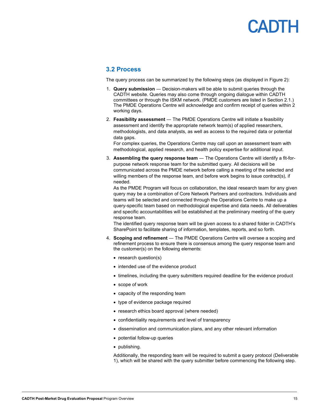# **ANTE**

#### **3.2 Process**

The query process can be summarized by the following steps (as displayed in [Figure 2\)](#page-16-1):

- 1. **Query submission** ― Decision-makers will be able to submit queries through the CADTH website. Queries may also come through ongoing dialogue within CADTH committees or through the ISKM network. (PMDE customers are listed i[n Section](#page-6-3) 2.1.) The PMDE Operations Centre will acknowledge and confirm receipt of queries within 2 working days.
- 2. **Feasibility assessment** ― The PMDE Operations Centre will initiate a feasibility assessment and identify the appropriate network team(s) of applied researchers, methodologists, and data analysts, as well as access to the required data or potential data gaps.

For complex queries, the Operations Centre may call upon an assessment team with methodological, applied research, and health policy expertise for additional input.

3. **Assembling the query response team** ― The Operations Centre will identify a fit-forpurpose network response team for the submitted query. All decisions will be communicated across the PMDE network before calling a meeting of the selected and willing members of the response team, and before work begins to issue contract(s), if needed.

As the PMDE Program will focus on collaboration, the ideal research team for any given query may be a combination of Core Network Partners and contractors. Individuals and teams will be selected and connected through the Operations Centre to make up a query-specific team based on methodological expertise and data needs. All deliverables and specific accountabilities will be established at the preliminary meeting of the query response team.

The identified query response team will be given access to a shared folder in CADTH's SharePoint to facilitate sharing of information, templates, reports, and so forth.

- 4. **Scoping and refinement** ― The PMDE Operations Centre will oversee a scoping and refinement process to ensure there is consensus among the query response team and the customer(s) on the following elements:
	- research question(s)
	- intended use of the evidence product
	- timelines, including the query submitters required deadline for the evidence product
	- scope of work
	- capacity of the responding team
	- type of evidence package required
	- research ethics board approval (where needed)
	- confidentiality requirements and level of transparency
	- dissemination and communication plans, and any other relevant information
	- potential follow-up queries
	- publishing.

Additionally, the responding team will be required to submit a query protocol (Deliverable 1), which will be shared with the query submitter before commencing the following step.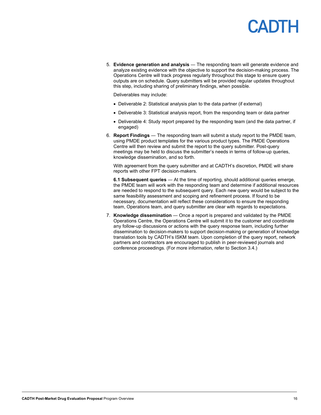# **ANTE**

5. **Evidence generation and analysis** ― The responding team will generate evidence and analyze existing evidence with the objective to support the decision-making process. The Operations Centre will track progress regularly throughout this stage to ensure query outputs are on schedule. Query submitters will be provided regular updates throughout this step, including sharing of preliminary findings, when possible.

Deliverables may include:

- Deliverable 2: Statistical analysis plan to the data partner (if external)
- Deliverable 3: Statistical analysis report, from the responding team or data partner
- Deliverable 4: Study report prepared by the responding team (and the data partner, if engaged)
- 6. **Report Findings** ― The responding team will submit a study report to the PMDE team, using PMDE product templates for the various product types. The PMDE Operations Centre will then review and submit the report to the query submitter. Post-query meetings may be held to discuss the submitter's needs in terms of follow-up queries, knowledge dissemination, and so forth.

With agreement from the query submitter and at CADTH's discretion, PMDE will share reports with other FPT decision-makers.

**6.1 Subsequent queries** ― At the time of reporting, should additional queries emerge, the PMDE team will work with the responding team and determine if additional resources are needed to respond to the subsequent query. Each new query would be subject to the same feasibility assessment and scoping and refinement process. If found to be necessary, documentation will reflect these considerations to ensure the responding team, Operations team, and query submitter are clear with regards to expectations.

7. **Knowledge dissemination** ― Once a report is prepared and validated by the PMDE Operations Centre, the Operations Centre will submit it to the customer and coordinate any follow-up discussions or actions with the query response team, including further dissemination to decision-makers to support decision-making or generation of knowledge translation tools by CADTH's ISKM team. Upon completion of the query report, network partners and contractors are encouraged to publish in peer-reviewed journals and conference proceedings. (For more information, refer t[o Section 3.4.\)](#page-17-1)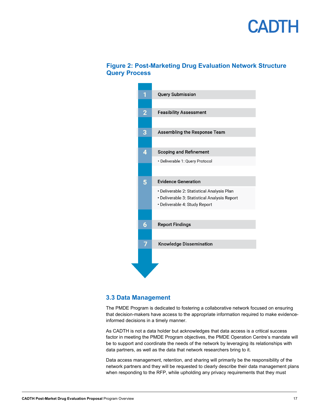### <span id="page-16-1"></span>**Figure 2: Post-Marketing Drug Evaluation Network Structure Query Process**



#### <span id="page-16-0"></span>**3.3 Data Management**

The PMDE Program is dedicated to fostering a collaborative network focused on ensuring that decision-makers have access to the appropriate information required to make evidenceinformed decisions in a timely manner.

As CADTH is not a data holder but acknowledges that data access is a critical success factor in meeting the PMDE Program objectives, the PMDE Operation Centre's mandate will be to support and coordinate the needs of the network by leveraging its relationships with data partners, as well as the data that network researchers bring to it.

Data access management, retention, and sharing will primarily be the responsibility of the network partners and they will be requested to clearly describe their data management plans when responding to the RFP, while upholding any privacy requirements that they must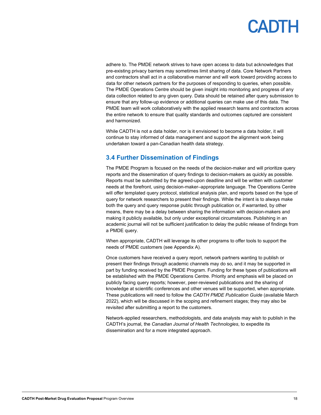<span id="page-17-1"></span>adhere to. The PMDE network strives to have open access to data but acknowledges that pre-existing privacy barriers may sometimes limit sharing of data. Core Network Partners and contractors shall act in a collaborative manner and will work toward providing access to data for other network partners for the purposes of responding to queries, when possible. The PMDE Operations Centre should be given insight into monitoring and progress of any data collection related to any given query. Data should be retained after query submission to ensure that any follow-up evidence or additional queries can make use of this data. The PMDE team will work collaboratively with the applied research teams and contractors across the entire network to ensure that quality standards and outcomes captured are consistent and harmonized.

While CADTH is not a data holder, nor is it envisioned to become a data holder, it will continue to stay informed of data management and support the alignment work being undertaken toward a pan-Canadian health data strategy.

### <span id="page-17-0"></span>**3.4 Further Dissemination of Findings**

The PMDE Program is focused on the needs of the decision-maker and will prioritize query reports and the dissemination of query findings to decision-makers as quickly as possible. Reports must be submitted by the agreed-upon deadline and will be written with customer needs at the forefront, using decision-maker–appropriate language. The Operations Centre will offer templated query protocol, statistical analysis plan, and reports based on the type of query for network researchers to present their findings. While the intent is to always make both the query and query response public through publication or, if warranted, by other means, there may be a delay between sharing the information with decision-makers and making it publicly available, but only under exceptional circumstances. Publishing in an academic journal will not be sufficient justification to delay the public release of findings from a PMDE query.

When appropriate, CADTH will leverage its other programs to offer tools to support the needs of PMDE customers (see [Appendix A\).](#page-23-1) 

Once customers have received a query report, network partners wanting to publish or present their findings through academic channels may do so, and it may be supported in part by funding received by the PMDE Program. Funding for these types of publications will be established with the PMDE Operations Centre. Priority and emphasis will be placed on publicly facing query reports; however, peer-reviewed publications and the sharing of knowledge at scientific conferences and other venues will be supported, when appropriate. These publications will need to follow the *CADTH PMDE Publication Guide* (available March 2022), which will be discussed in the scoping and refinement stages; they may also be revisited after submitting a report to the customers.

Network-applied researchers, methodologists, and data analysts may wish to publish in the CADTH's journal, the *Canadian Journal of Health Technologies*, to expedite its dissemination and for a more integrated approach.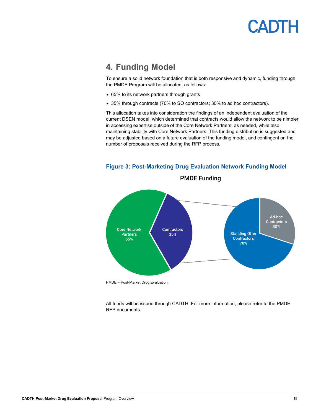### <span id="page-18-0"></span>**4. Funding Model**

To ensure a solid network foundation that is both responsive and dynamic, funding through the PMDE Program will be allocated, as follows:

- 65% to its network partners through grants
- 35% through contracts (70% to SO contractors; 30% to ad hoc contractors).

This allocation takes into consideration the findings of an independent evaluation of the current DSEN model, which determined that contracts would allow the network to be nimbler in accessing expertise outside of the Core Network Partners, as needed, while also maintaining stability with Core Network Partners. This funding distribution is suggested and may be adjusted based on a future evaluation of the funding model, and contingent on the number of proposals received during the RFP process*.*



#### **Figure 3: Post-Marketing Drug Evaluation Network Funding Model**

PMDE = Post-Market Drug Evaluation.

<span id="page-18-1"></span>All funds will be issued through CADTH. For more information, please refer to the PMDE RFP documents.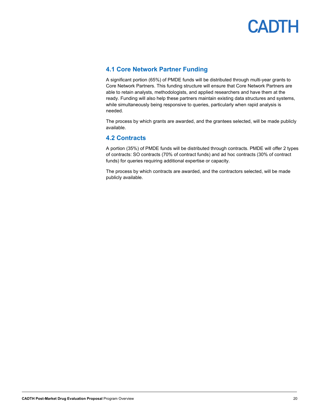

### **4.1 Core Network Partner Funding**

A significant portion (65%) of PMDE funds will be distributed through multi-year grants to Core Network Partners. This funding structure will ensure that Core Network Partners are able to retain analysts, methodologists, and applied researchers and have them at the ready. Funding will also help these partners maintain existing data structures and systems, while simultaneously being responsive to queries, particularly when rapid analysis is needed.

The process by which grants are awarded, and the grantees selected, will be made publicly available.

#### <span id="page-19-0"></span>**4.2 Contracts**

A portion (35%) of PMDE funds will be distributed through contracts. PMDE will offer 2 types of contracts: SO contracts (70% of contract funds) and ad hoc contracts (30% of contract funds) for queries requiring additional expertise or capacity.

The process by which contracts are awarded, and the contractors selected, will be made publicly available.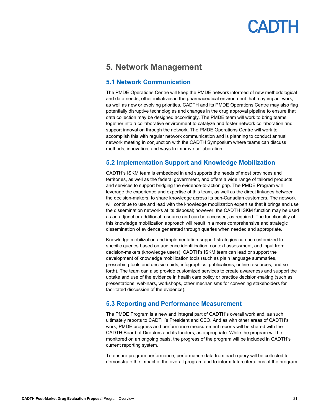### <span id="page-20-0"></span>**5. Network Management**

### <span id="page-20-1"></span>**5.1 Network Communication**

The PMDE Operations Centre will keep the PMDE network informed of new methodological and data needs, other initiatives in the pharmaceutical environment that may impact work, as well as new or evolving priorities. CADTH and its PMDE Operations Centre may also flag potentially disruptive technologies and changes in the drug approval pipeline to ensure that data collection may be designed accordingly. The PMDE team will work to bring teams together into a collaborative environment to catalyze and foster network collaboration and support innovation through the network. The PMDE Operations Centre will work to accomplish this with regular network communication and is planning to conduct annual network meeting in conjunction with the CADTH Symposium where teams can discuss methods, innovation, and ways to improve collaboration.

### <span id="page-20-2"></span>**5.2 Implementation Support and Knowledge Mobilization**

CADTH's ISKM team is embedded in and supports the needs of most provinces and territories, as well as the federal government, and offers a wide range of tailored products and services to support bridging the evidence-to-action gap. The PMDE Program will leverage the experience and expertise of this team, as well as the direct linkages between the decision-makers, to share knowledge across its pan-Canadian customers. The network will continue to use and lead with the knowledge mobilization expertise that it brings and use the dissemination networks at its disposal; however, the CADTH ISKM function may be used as an adjunct or additional resource and can be accessed, as required. The functionality of this knowledge mobilization approach will result in a more comprehensive and strategic dissemination of evidence generated through queries when needed and appropriate.

Knowledge mobilization and implementation-support strategies can be customized to specific queries based on audience identification, context assessment, and input from decision-makers (knowledge users). CADTH's ISKM team can lead or support the development of knowledge mobilization tools (such as plain language summaries, prescribing tools and decision aids, infographics, publications, online resources, and so forth). The team can also provide customized services to create awareness and support the uptake and use of the evidence in health care policy or practice decision-making (such as presentations, webinars, workshops, other mechanisms for convening stakeholders for facilitated discussion of the evidence).

### <span id="page-20-3"></span>**5.3 Reporting and Performance Measurement**

The PMDE Program is a new and integral part of CADTH's overall work and, as such, ultimately reports to CADTH's President and CEO. And as with other areas of CADTH's work, PMDE progress and performance measurement reports will be shared with the CADTH Board of Directors and its funders, as appropriate. While the program will be monitored on an ongoing basis, the progress of the program will be included in CADTH's current reporting system.

To ensure program performance, performance data from each query will be collected to demonstrate the impact of the overall program and to inform future iterations of the program.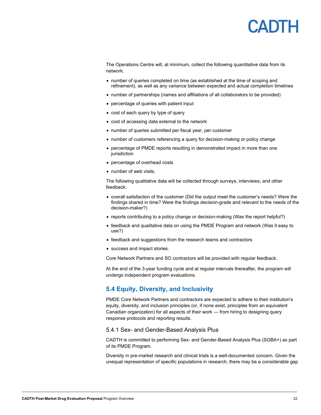The Operations Centre will, at minimum, collect the following quantitative data from its network:

- number of queries completed on time (as established at the time of scoping and refinement), as well as any variance between expected and actual completion timelines
- number of partnerships (names and affiliations of all collaborators to be provided)
- percentage of queries with patient input
- cost of each query by type of query
- cost of accessing data external to the network
- number of queries submitted per fiscal year, per customer
- number of customers referencing a query for decision-making or policy change
- percentage of PMDE reports resulting in demonstrated impact in more than one jurisdiction
- percentage of overhead costs
- number of web visits.

The following qualitative data will be collected through surveys, interviews, and other feedback:

- overall satisfaction of the customer (Did the output meet the customer's needs? Were the findings shared in time? Were the findings decision-grade and relevant to the needs of the decision-maker?)
- reports contributing to a policy change or decision-making (Was the report helpful?)
- feedback and qualitative data on using the PMDE Program and network (Was it easy to use?)
- feedback and suggestions from the research teams and contractors
- success and impact stories.

Core Network Partners and SO contractors will be provided with regular feedback.

At the end of the 3-year funding cycle and at regular intervals thereafter, the program will undergo independent program evaluations.

### <span id="page-21-0"></span>**5.4 Equity, Diversity, and Inclusivity**

PMDE Core Network Partners and contractors are expected to adhere to their institution's equity, diversity, and inclusion principles (or, if none exist, principles from an equivalent Canadian organization) for all aspects of their work ― from hiring to designing query response protocols and reporting results.

#### 5.4.1 Sex- and Gender-Based Analysis Plus

CADTH is committed to performing Sex- and Gender-Based Analysis Plus (SGBA+) as part of its PMDE Program.

Diversity in pre-market research and clinical trials is a well-documented concern. Given the unequal representation of specific populations in research, there may be a considerable gap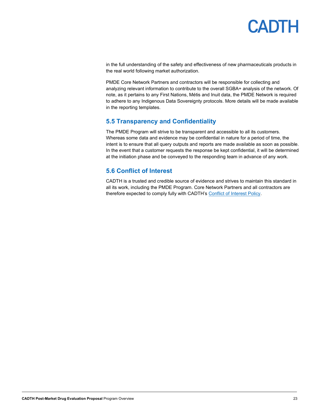

in the full understanding of the safety and effectiveness of new pharmaceuticals products in the real world following market authorization.

PMDE Core Network Partners and contractors will be responsible for collecting and analyzing relevant information to contribute to the overall SGBA+ analysis of the network. Of note, as it pertains to any First Nations, Métis and Inuit data, the PMDE Network is required to adhere to any Indigenous Data Sovereignty protocols. More details will be made available in the reporting templates.

### <span id="page-22-0"></span>**5.5 Transparency and Confidentiality**

The PMDE Program will strive to be transparent and accessible to all its customers. Whereas some data and evidence may be confidential in nature for a period of time, the intent is to ensure that all query outputs and reports are made available as soon as possible. In the event that a customer requests the response be kept confidential, it will be determined at the initiation phase and be conveyed to the responding team in advance of any work.

### <span id="page-22-1"></span>**5.6 Conflict of Interest**

CADTH is a trusted and credible source of evidence and strives to maintain this standard in all its work, including the PMDE Program. Core Network Partners and all contractors are therefore expected to comply fully with CADTH's Conflict of Interest Policy.